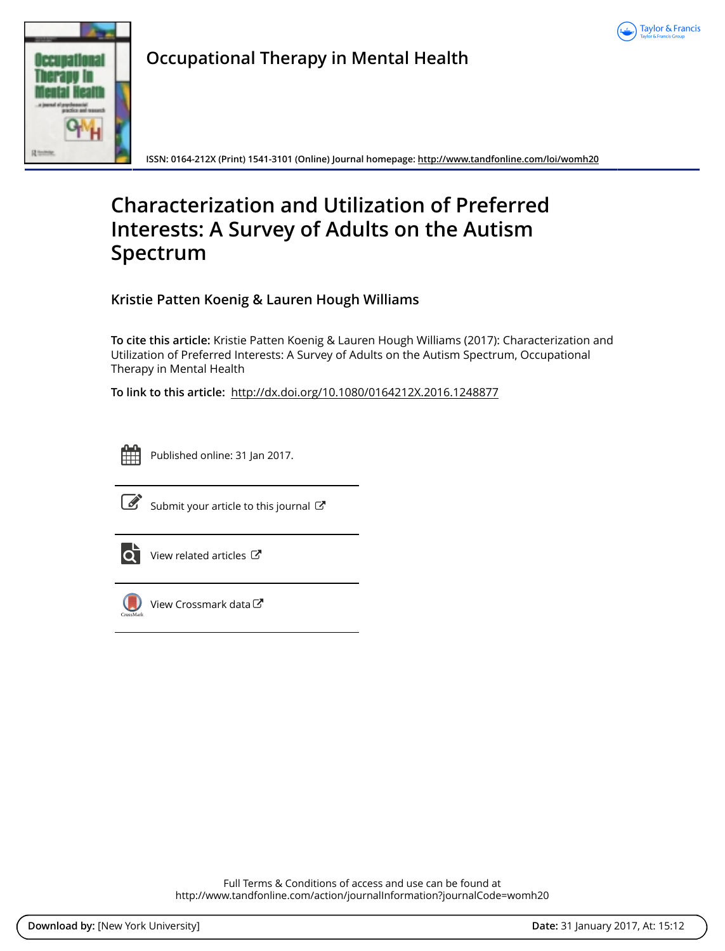



**Occupational Therapy in Mental Health**

**ISSN: 0164-212X (Print) 1541-3101 (Online) Journal homepage: <http://www.tandfonline.com/loi/womh20>**

# **Characterization and Utilization of Preferred Interests: A Survey of Adults on the Autism Spectrum**

**Kristie Patten Koenig & Lauren Hough Williams**

**To cite this article:** Kristie Patten Koenig & Lauren Hough Williams (2017): Characterization and Utilization of Preferred Interests: A Survey of Adults on the Autism Spectrum, Occupational Therapy in Mental Health

**To link to this article:** <http://dx.doi.org/10.1080/0164212X.2016.1248877>



Published online: 31 Jan 2017.



 $\overline{\mathscr{L}}$  [Submit your article to this journal](http://www.tandfonline.com/action/authorSubmission?journalCode=womh20&show=instructions)  $\mathbb{Z}$ 



 $\overrightarrow{O}$  [View related articles](http://www.tandfonline.com/doi/mlt/10.1080/0164212X.2016.1248877)  $\overrightarrow{C}$ 



[View Crossmark data](http://crossmark.crossref.org/dialog/?doi=10.1080/0164212X.2016.1248877&domain=pdf&date_stamp=2017-01-31)<sup>で</sup>

Full Terms & Conditions of access and use can be found at <http://www.tandfonline.com/action/journalInformation?journalCode=womh20>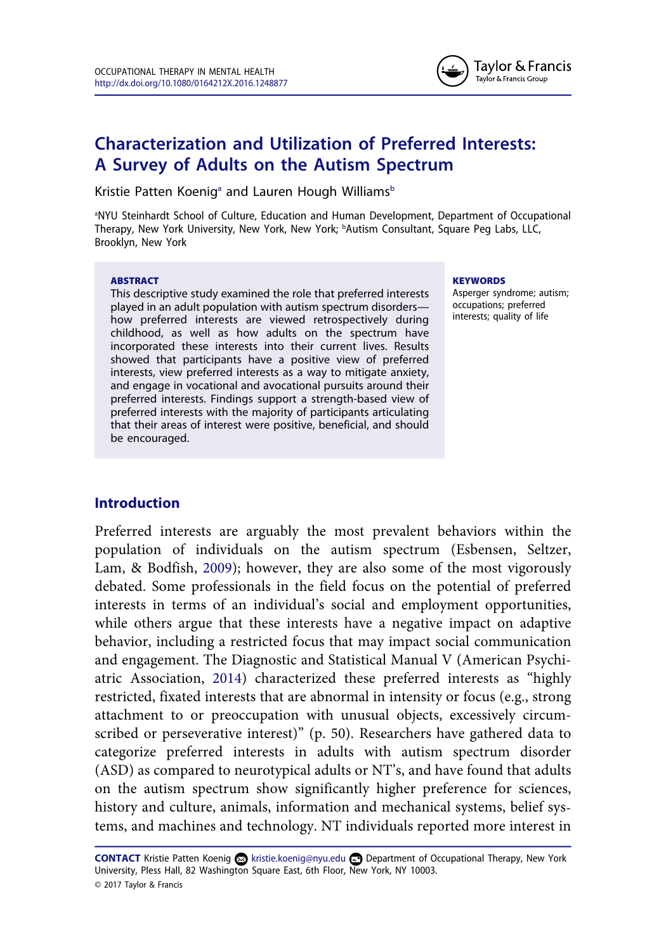

# **Characterization and Utilization of Preferred Interests: A Survey of Adults on the Autism Spectrum**

Kristie Patten Koenig<sup>a</sup> and Lauren Hough Williams<sup>b</sup>

a NYU Steinhardt School of Culture, Education and Human Development, Department of Occupational Therapy, New York University, New York, New York; bAutism Consultant, Square Peg Labs, LLC, Brooklyn, New York

#### **ABSTRACT**

This descriptive study examined the role that preferred interests played in an adult population with autism spectrum disorders how preferred interests are viewed retrospectively during childhood, as well as how adults on the spectrum have incorporated these interests into their current lives. Results showed that participants have a positive view of preferred interests, view preferred interests as a way to mitigate anxiety, and engage in vocational and avocational pursuits around their preferred interests. Findings support a strength-based view of preferred interests with the majority of participants articulating that their areas of interest were positive, beneficial, and should be encouraged.

#### **KEYWORDS**

Asperger syndrome; autism; occupations; preferred interests; quality of life

## **Introduction**

Preferred interests are arguably the most prevalent behaviors within the population of individuals on the autism spectrum (Esbensen, Seltzer, Lam, & Bodfish, [2009\)](#page-11-0); however, they are also some of the most vigorously debated. Some professionals in the field focus on the potential of preferred interests in terms of an individual's social and employment opportunities, while others argue that these interests have a negative impact on adaptive behavior, including a restricted focus that may impact social communication and engagement. The Diagnostic and Statistical Manual V (American Psychiatric Association, [2014\)](#page-10-0) characterized these preferred interests as "highly restricted, fixated interests that are abnormal in intensity or focus (e.g., strong attachment to or preoccupation with unusual objects, excessively circumscribed or perseverative interest)" (p. 50). Researchers have gathered data to categorize preferred interests in adults with autism spectrum disorder (ASD) as compared to neurotypical adults or NT's, and have found that adults on the autism spectrum show significantly higher preference for sciences, history and culture, animals, information and mechanical systems, belief systems, and machines and technology. NT individuals reported more interest in

CONTACT Kristie Patten Koenig a kristie.koenig@nyu.edu **composite to Accupational Therapy, New York** University, Pless Hall, 82 Washington Square East, 6th Floor, New York, NY 10003. © 2017 Taylor & Francis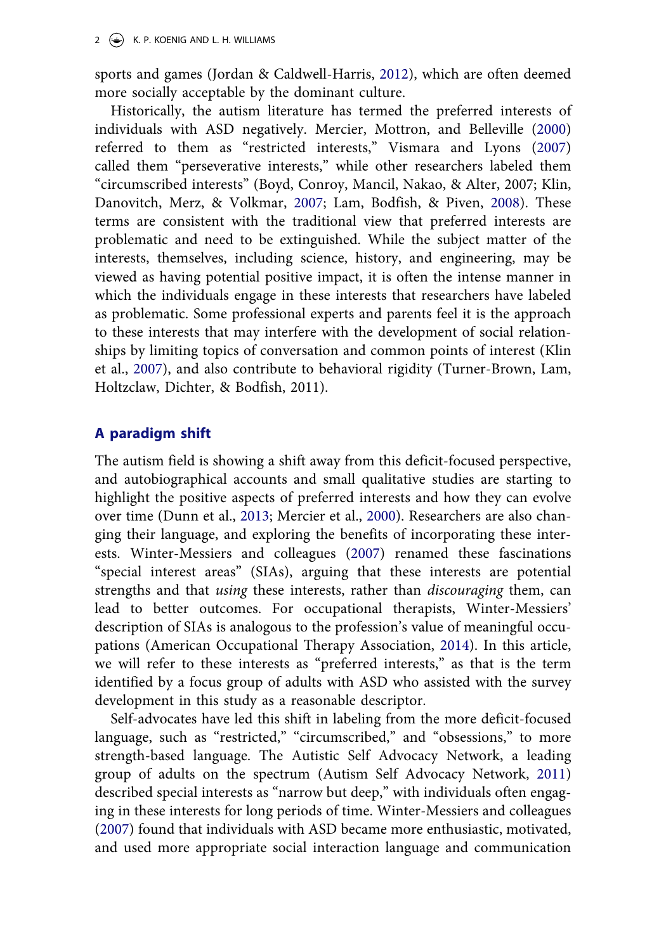sports and games (Jordan & Caldwell-Harris, [2012](#page-11-0)), which are often deemed more socially acceptable by the dominant culture.

Historically, the autism literature has termed the preferred interests of individuals with ASD negatively. Mercier, Mottron, and Belleville [\(2000](#page-11-0)) referred to them as "restricted interests," Vismara and Lyons [\(2007](#page-12-0)) called them "perseverative interests," while other researchers labeled them "circumscribed interests" (Boyd, Conroy, Mancil, Nakao, & Alter, 2007; Klin, Danovitch, Merz, & Volkmar, [2007](#page-11-0); Lam, Bodfish, & Piven, [2008](#page-11-0)). These terms are consistent with the traditional view that preferred interests are problematic and need to be extinguished. While the subject matter of the interests, themselves, including science, history, and engineering, may be viewed as having potential positive impact, it is often the intense manner in which the individuals engage in these interests that researchers have labeled as problematic. Some professional experts and parents feel it is the approach to these interests that may interfere with the development of social relationships by limiting topics of conversation and common points of interest (Klin et al., [2007\)](#page-11-0), and also contribute to behavioral rigidity (Turner-Brown, Lam, Holtzclaw, Dichter, & Bodfish, 2011).

## **A paradigm shift**

The autism field is showing a shift away from this deficit-focused perspective, and autobiographical accounts and small qualitative studies are starting to highlight the positive aspects of preferred interests and how they can evolve over time (Dunn et al., [2013;](#page-11-0) Mercier et al., [2000](#page-11-0)). Researchers are also changing their language, and exploring the benefits of incorporating these interests. Winter-Messiers and colleagues [\(2007](#page-12-0)) renamed these fascinations "special interest areas" (SIAs), arguing that these interests are potential strengths and that *using* these interests, rather than *discouraging* them, can lead to better outcomes. For occupational therapists, Winter-Messiers' description of SIAs is analogous to the profession's value of meaningful occupations (American Occupational Therapy Association, [2014](#page-10-0)). In this article, we will refer to these interests as "preferred interests," as that is the term identified by a focus group of adults with ASD who assisted with the survey development in this study as a reasonable descriptor.

Self-advocates have led this shift in labeling from the more deficit-focused language, such as "restricted," "circumscribed," and "obsessions," to more strength-based language. The Autistic Self Advocacy Network, a leading group of adults on the spectrum (Autism Self Advocacy Network, [2011](#page-10-0)) described special interests as "narrow but deep," with individuals often engaging in these interests for long periods of time. Winter-Messiers and colleagues ([2007\)](#page-12-0) found that individuals with ASD became more enthusiastic, motivated, and used more appropriate social interaction language and communication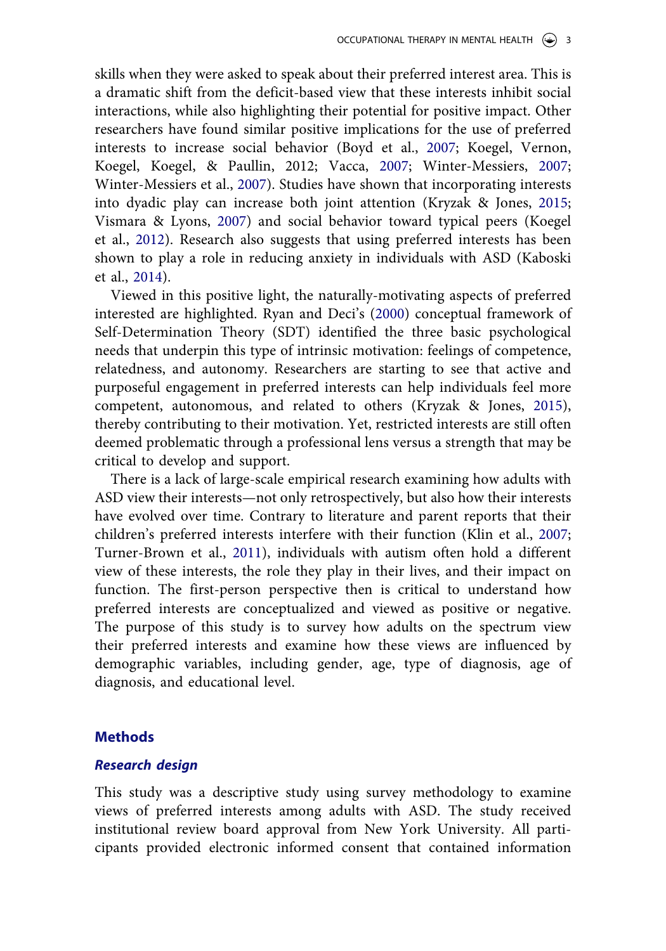skills when they were asked to speak about their preferred interest area. This is a dramatic shift from the deficit-based view that these interests inhibit social interactions, while also highlighting their potential for positive impact. Other researchers have found similar positive implications for the use of preferred interests to increase social behavior (Boyd et al., [2007;](#page-10-0) Koegel, Vernon, Koegel, Koegel, & Paullin, 2012; Vacca, [2007](#page-12-0); Winter-Messiers, [2007;](#page-12-0) Winter-Messiers et al., [2007\)](#page-12-0). Studies have shown that incorporating interests into dyadic play can increase both joint attention (Kryzak & Jones, [2015;](#page-11-0) Vismara & Lyons, [2007](#page-12-0)) and social behavior toward typical peers (Koegel et al., [2012\)](#page-11-0). Research also suggests that using preferred interests has been shown to play a role in reducing anxiety in individuals with ASD (Kaboski et al., [2014\)](#page-11-0).

Viewed in this positive light, the naturally-motivating aspects of preferred interested are highlighted. Ryan and Deci's [\(2000](#page-12-0)) conceptual framework of Self-Determination Theory (SDT) identified the three basic psychological needs that underpin this type of intrinsic motivation: feelings of competence, relatedness, and autonomy. Researchers are starting to see that active and purposeful engagement in preferred interests can help individuals feel more competent, autonomous, and related to others (Kryzak & Jones, [2015\)](#page-11-0), thereby contributing to their motivation. Yet, restricted interests are still often deemed problematic through a professional lens versus a strength that may be critical to develop and support.

There is a lack of large-scale empirical research examining how adults with ASD view their interests—not only retrospectively, but also how their interests have evolved over time. Contrary to literature and parent reports that their children's preferred interests interfere with their function (Klin et al., [2007;](#page-11-0) Turner-Brown et al., [2011](#page-12-0)), individuals with autism often hold a different view of these interests, the role they play in their lives, and their impact on function. The first-person perspective then is critical to understand how preferred interests are conceptualized and viewed as positive or negative. The purpose of this study is to survey how adults on the spectrum view their preferred interests and examine how these views are influenced by demographic variables, including gender, age, type of diagnosis, age of diagnosis, and educational level.

#### **Methods**

## *Research design*

This study was a descriptive study using survey methodology to examine views of preferred interests among adults with ASD. The study received institutional review board approval from New York University. All participants provided electronic informed consent that contained information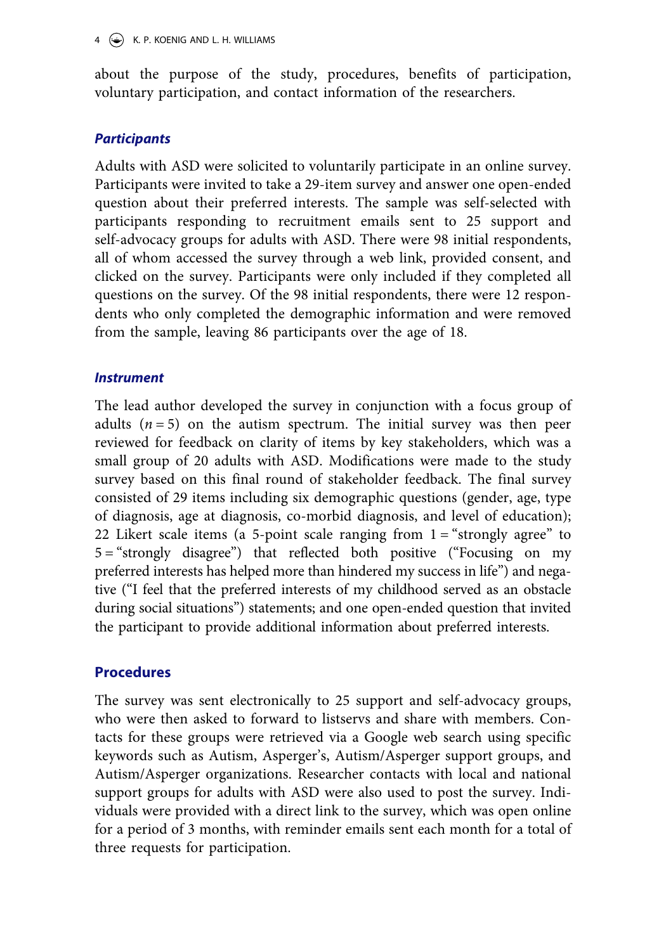about the purpose of the study, procedures, benefits of participation, voluntary participation, and contact information of the researchers.

## *Participants*

Adults with ASD were solicited to voluntarily participate in an online survey. Participants were invited to take a 29-item survey and answer one open-ended question about their preferred interests. The sample was self-selected with participants responding to recruitment emails sent to 25 support and self-advocacy groups for adults with ASD. There were 98 initial respondents, all of whom accessed the survey through a web link, provided consent, and clicked on the survey. Participants were only included if they completed all questions on the survey. Of the 98 initial respondents, there were 12 respondents who only completed the demographic information and were removed from the sample, leaving 86 participants over the age of 18.

## *Instrument*

The lead author developed the survey in conjunction with a focus group of adults  $(n = 5)$  on the autism spectrum. The initial survey was then peer reviewed for feedback on clarity of items by key stakeholders, which was a small group of 20 adults with ASD. Modifications were made to the study survey based on this final round of stakeholder feedback. The final survey consisted of 29 items including six demographic questions (gender, age, type of diagnosis, age at diagnosis, co-morbid diagnosis, and level of education); 22 Likert scale items (a 5-point scale ranging from  $1 =$  "strongly agree" to 5 = "strongly disagree") that reflected both positive ("Focusing on my preferred interests has helped more than hindered my success in life") and negative ("I feel that the preferred interests of my childhood served as an obstacle during social situations") statements; and one open-ended question that invited the participant to provide additional information about preferred interests.

## **Procedures**

The survey was sent electronically to 25 support and self-advocacy groups, who were then asked to forward to listservs and share with members. Contacts for these groups were retrieved via a Google web search using specific keywords such as Autism, Asperger's, Autism/Asperger support groups, and Autism/Asperger organizations. Researcher contacts with local and national support groups for adults with ASD were also used to post the survey. Individuals were provided with a direct link to the survey, which was open online for a period of 3 months, with reminder emails sent each month for a total of three requests for participation.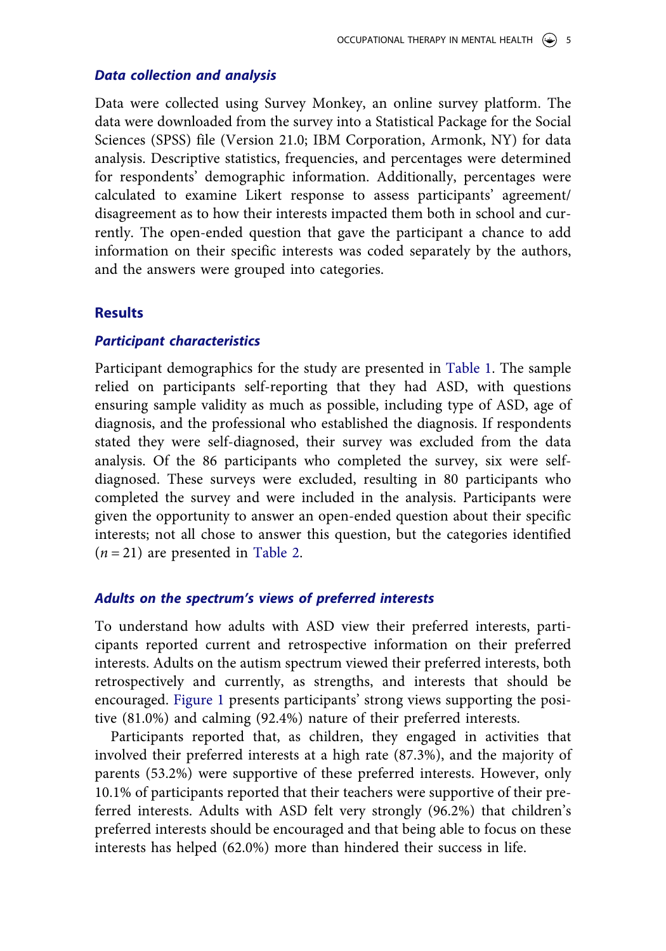#### *Data collection and analysis*

Data were collected using Survey Monkey, an online survey platform. The data were downloaded from the survey into a Statistical Package for the Social Sciences (SPSS) file (Version 21.0; IBM Corporation, Armonk, NY) for data analysis. Descriptive statistics, frequencies, and percentages were determined for respondents' demographic information. Additionally, percentages were calculated to examine Likert response to assess participants' agreement/ disagreement as to how their interests impacted them both in school and currently. The open-ended question that gave the participant a chance to add information on their specific interests was coded separately by the authors, and the answers were grouped into categories.

#### **Results**

#### *Participant characteristics*

Participant demographics for the study are presented in [Table 1](#page-6-0). The sample relied on participants self-reporting that they had ASD, with questions ensuring sample validity as much as possible, including type of ASD, age of diagnosis, and the professional who established the diagnosis. If respondents stated they were self-diagnosed, their survey was excluded from the data analysis. Of the 86 participants who completed the survey, six were selfdiagnosed. These surveys were excluded, resulting in 80 participants who completed the survey and were included in the analysis. Participants were given the opportunity to answer an open-ended question about their specific interests; not all chose to answer this question, but the categories identified  $(n = 21)$  are presented in [Table 2.](#page-6-0)

#### *Adults on the spectrum's views of preferred interests*

To understand how adults with ASD view their preferred interests, participants reported current and retrospective information on their preferred interests. Adults on the autism spectrum viewed their preferred interests, both retrospectively and currently, as strengths, and interests that should be encouraged. [Figure 1](#page-7-0) presents participants' strong views supporting the positive (81.0%) and calming (92.4%) nature of their preferred interests.

Participants reported that, as children, they engaged in activities that involved their preferred interests at a high rate (87.3%), and the majority of parents (53.2%) were supportive of these preferred interests. However, only 10.1% of participants reported that their teachers were supportive of their preferred interests. Adults with ASD felt very strongly (96.2%) that children's preferred interests should be encouraged and that being able to focus on these interests has helped (62.0%) more than hindered their success in life.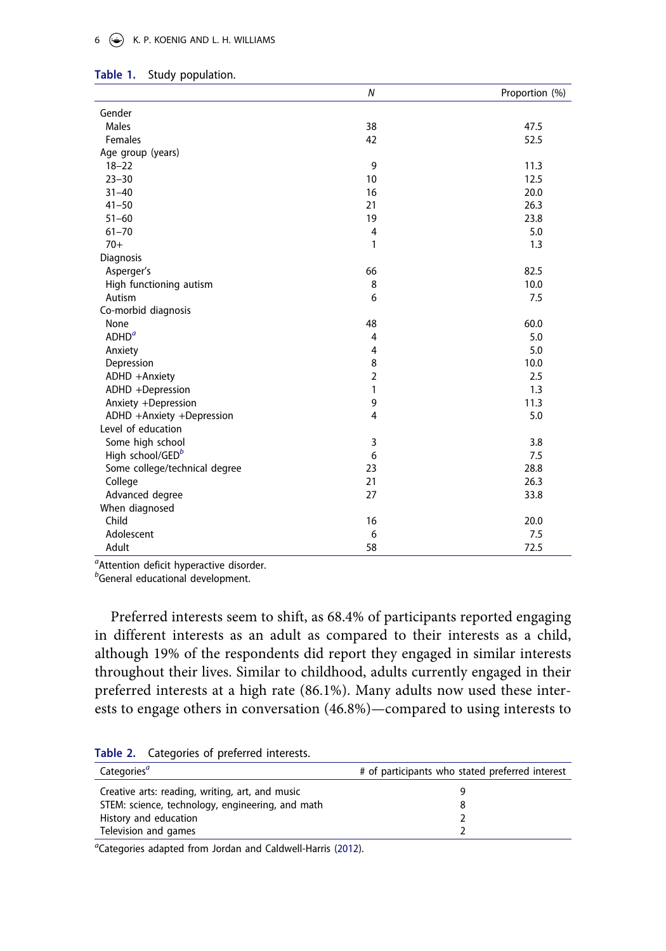<span id="page-6-0"></span>

|  |  |  |  |  |  |  |  | 6 $\leftrightarrow$ K. P. KOENIG AND L. H. WILLIAMS |
|--|--|--|--|--|--|--|--|-----------------------------------------------------|
|--|--|--|--|--|--|--|--|-----------------------------------------------------|

|                               | $\boldsymbol{N}$ | Proportion (%) |
|-------------------------------|------------------|----------------|
| Gender                        |                  |                |
| Males                         | 38               | 47.5           |
| Females                       | 42               | 52.5           |
| Age group (years)             |                  |                |
| $18 - 22$                     | 9                | 11.3           |
| $23 - 30$                     | 10               | 12.5           |
| $31 - 40$                     | 16               | 20.0           |
| $41 - 50$                     | 21               | 26.3           |
| $51 - 60$                     | 19               | 23.8           |
| $61 - 70$                     | 4                | 5.0            |
| $70+$                         | 1                | 1.3            |
| Diagnosis                     |                  |                |
| Asperger's                    | 66               | 82.5           |
| High functioning autism       | 8                | 10.0           |
| Autism                        | 6                | 7.5            |
| Co-morbid diagnosis           |                  |                |
| None                          | 48               | 60.0           |
| ADHD <sup>a</sup>             | 4                | 5.0            |
| Anxiety                       | $\overline{4}$   | 5.0            |
| Depression                    | 8                | 10.0           |
| ADHD +Anxiety                 | $\overline{2}$   | 2.5            |
| ADHD +Depression              | 1                | 1.3            |
| Anxiety +Depression           | 9                | 11.3           |
| ADHD +Anxiety +Depression     | 4                | 5.0            |
| Level of education            |                  |                |
| Some high school              | 3                | 3.8            |
| High school/GEDb              | 6                | 7.5            |
| Some college/technical degree | 23               | 28.8           |
| College                       | 21               | 26.3           |
| Advanced degree               | 27               | 33.8           |
| When diagnosed                |                  |                |
| Child                         | 16               | 20.0           |
| Adolescent                    | 6                | 7.5            |
| Adult                         | 58               | 72.5           |

| Table 1. |  | Study population. |
|----------|--|-------------------|
|----------|--|-------------------|

*a* Attention deficit hyperactive disorder.

*b* General educational development.

Preferred interests seem to shift, as 68.4% of participants reported engaging in different interests as an adult as compared to their interests as a child, although 19% of the respondents did report they engaged in similar interests throughout their lives. Similar to childhood, adults currently engaged in their preferred interests at a high rate (86.1%). Many adults now used these interests to engage others in conversation (46.8%)—compared to using interests to

| # of participants who stated preferred interest |  |  |
|-------------------------------------------------|--|--|
|                                                 |  |  |
|                                                 |  |  |
|                                                 |  |  |
|                                                 |  |  |
|                                                 |  |  |

**Table 2.** Categories of preferred interests.

*a* Categories adapted from Jordan and Caldwell-Harris [\(2012](#page-11-0)).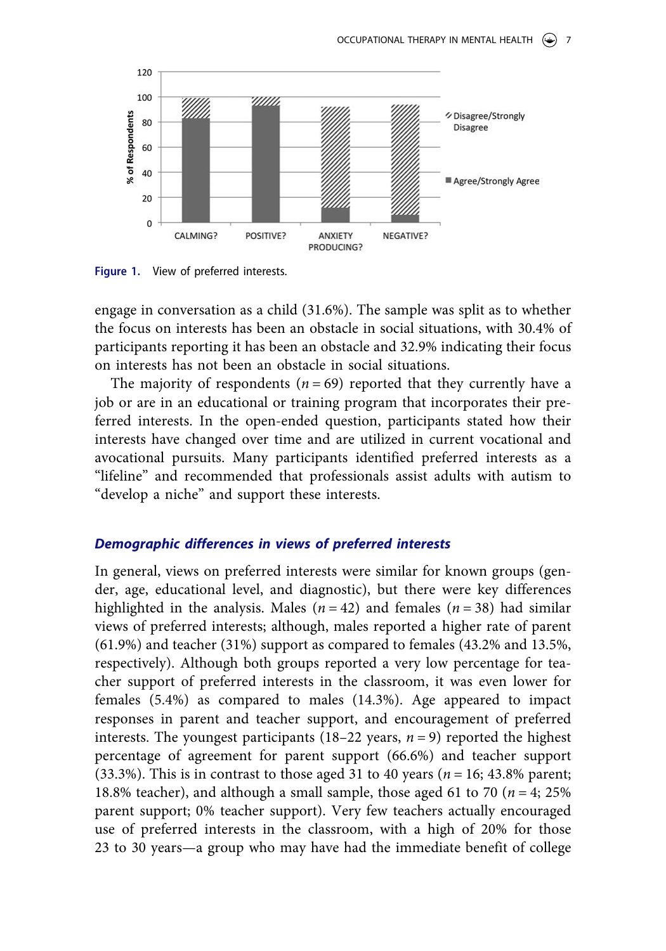<span id="page-7-0"></span>

**Figure 1.** View of preferred interests.

engage in conversation as a child (31.6%). The sample was split as to whether the focus on interests has been an obstacle in social situations, with 30.4% of participants reporting it has been an obstacle and 32.9% indicating their focus on interests has not been an obstacle in social situations.

The majority of respondents ( $n = 69$ ) reported that they currently have a job or are in an educational or training program that incorporates their preferred interests. In the open-ended question, participants stated how their interests have changed over time and are utilized in current vocational and avocational pursuits. Many participants identified preferred interests as a "lifeline" and recommended that professionals assist adults with autism to "develop a niche" and support these interests.

#### *Demographic differences in views of preferred interests*

In general, views on preferred interests were similar for known groups (gender, age, educational level, and diagnostic), but there were key differences highlighted in the analysis. Males  $(n = 42)$  and females  $(n = 38)$  had similar views of preferred interests; although, males reported a higher rate of parent (61.9%) and teacher (31%) support as compared to females (43.2% and 13.5%, respectively). Although both groups reported a very low percentage for teacher support of preferred interests in the classroom, it was even lower for females (5.4%) as compared to males (14.3%). Age appeared to impact responses in parent and teacher support, and encouragement of preferred interests. The youngest participants  $(18–22 \text{ years}, n = 9)$  reported the highest percentage of agreement for parent support (66.6%) and teacher support (33.3%). This is in contrast to those aged 31 to 40 years (*n* = 16; 43.8% parent; 18.8% teacher), and although a small sample, those aged 61 to 70 ( $n = 4$ ; 25%) parent support; 0% teacher support). Very few teachers actually encouraged use of preferred interests in the classroom, with a high of 20% for those 23 to 30 years—a group who may have had the immediate benefit of college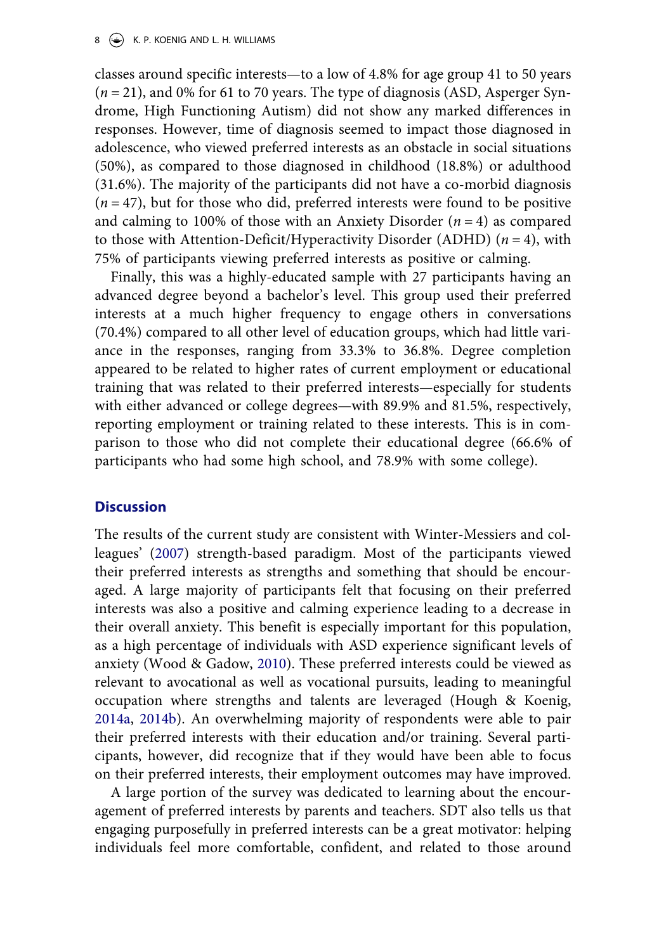#### 8  $\leftrightarrow$  K. P. KOENIG AND L. H. WILLIAMS

classes around specific interests—to a low of 4.8% for age group 41 to 50 years (*n* = 21), and 0% for 61 to 70 years. The type of diagnosis (ASD, Asperger Syndrome, High Functioning Autism) did not show any marked differences in responses. However, time of diagnosis seemed to impact those diagnosed in adolescence, who viewed preferred interests as an obstacle in social situations (50%), as compared to those diagnosed in childhood (18.8%) or adulthood (31.6%). The majority of the participants did not have a co-morbid diagnosis  $(n = 47)$ , but for those who did, preferred interests were found to be positive and calming to 100% of those with an Anxiety Disorder  $(n = 4)$  as compared to those with Attention-Deficit/Hyperactivity Disorder (ADHD) (*n* = 4), with 75% of participants viewing preferred interests as positive or calming.

Finally, this was a highly-educated sample with 27 participants having an advanced degree beyond a bachelor's level. This group used their preferred interests at a much higher frequency to engage others in conversations (70.4%) compared to all other level of education groups, which had little variance in the responses, ranging from 33.3% to 36.8%. Degree completion appeared to be related to higher rates of current employment or educational training that was related to their preferred interests—especially for students with either advanced or college degrees—with 89.9% and 81.5%, respectively, reporting employment or training related to these interests. This is in comparison to those who did not complete their educational degree (66.6% of participants who had some high school, and 78.9% with some college).

## **Discussion**

The results of the current study are consistent with Winter-Messiers and colleagues' [\(2007](#page-12-0)) strength-based paradigm. Most of the participants viewed their preferred interests as strengths and something that should be encouraged. A large majority of participants felt that focusing on their preferred interests was also a positive and calming experience leading to a decrease in their overall anxiety. This benefit is especially important for this population, as a high percentage of individuals with ASD experience significant levels of anxiety (Wood & Gadow, [2010\)](#page-12-0). These preferred interests could be viewed as relevant to avocational as well as vocational pursuits, leading to meaningful occupation where strengths and talents are leveraged (Hough & Koenig, [2014a,](#page-11-0) [2014b\)](#page-11-0). An overwhelming majority of respondents were able to pair their preferred interests with their education and/or training. Several participants, however, did recognize that if they would have been able to focus on their preferred interests, their employment outcomes may have improved.

A large portion of the survey was dedicated to learning about the encouragement of preferred interests by parents and teachers. SDT also tells us that engaging purposefully in preferred interests can be a great motivator: helping individuals feel more comfortable, confident, and related to those around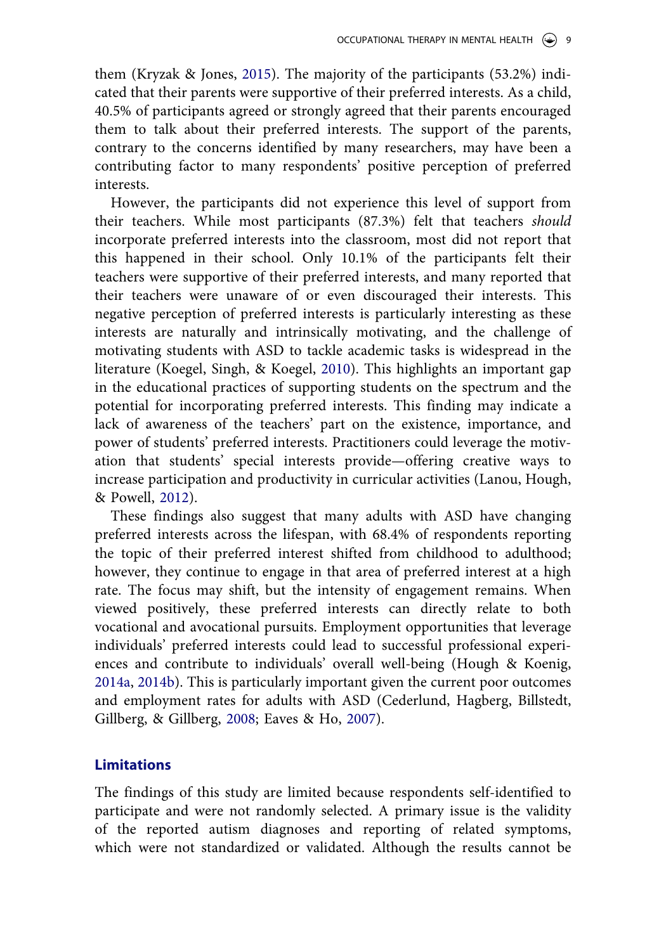them (Kryzak & Jones, [2015](#page-11-0)). The majority of the participants (53.2%) indicated that their parents were supportive of their preferred interests. As a child, 40.5% of participants agreed or strongly agreed that their parents encouraged them to talk about their preferred interests. The support of the parents, contrary to the concerns identified by many researchers, may have been a contributing factor to many respondents' positive perception of preferred interests.

However, the participants did not experience this level of support from their teachers. While most participants (87.3%) felt that teachers *should*  incorporate preferred interests into the classroom, most did not report that this happened in their school. Only 10.1% of the participants felt their teachers were supportive of their preferred interests, and many reported that their teachers were unaware of or even discouraged their interests. This negative perception of preferred interests is particularly interesting as these interests are naturally and intrinsically motivating, and the challenge of motivating students with ASD to tackle academic tasks is widespread in the literature (Koegel, Singh, & Koegel, [2010](#page-11-0)). This highlights an important gap in the educational practices of supporting students on the spectrum and the potential for incorporating preferred interests. This finding may indicate a lack of awareness of the teachers' part on the existence, importance, and power of students' preferred interests. Practitioners could leverage the motivation that students' special interests provide—offering creative ways to increase participation and productivity in curricular activities (Lanou, Hough, & Powell, [2012\)](#page-11-0).

These findings also suggest that many adults with ASD have changing preferred interests across the lifespan, with 68.4% of respondents reporting the topic of their preferred interest shifted from childhood to adulthood; however, they continue to engage in that area of preferred interest at a high rate. The focus may shift, but the intensity of engagement remains. When viewed positively, these preferred interests can directly relate to both vocational and avocational pursuits. Employment opportunities that leverage individuals' preferred interests could lead to successful professional experiences and contribute to individuals' overall well-being (Hough & Koenig, [2014a,](#page-11-0) [2014b](#page-11-0)). This is particularly important given the current poor outcomes and employment rates for adults with ASD (Cederlund, Hagberg, Billstedt, Gillberg, & Gillberg, [2008](#page-11-0); Eaves & Ho, [2007](#page-11-0)).

#### **Limitations**

The findings of this study are limited because respondents self-identified to participate and were not randomly selected. A primary issue is the validity of the reported autism diagnoses and reporting of related symptoms, which were not standardized or validated. Although the results cannot be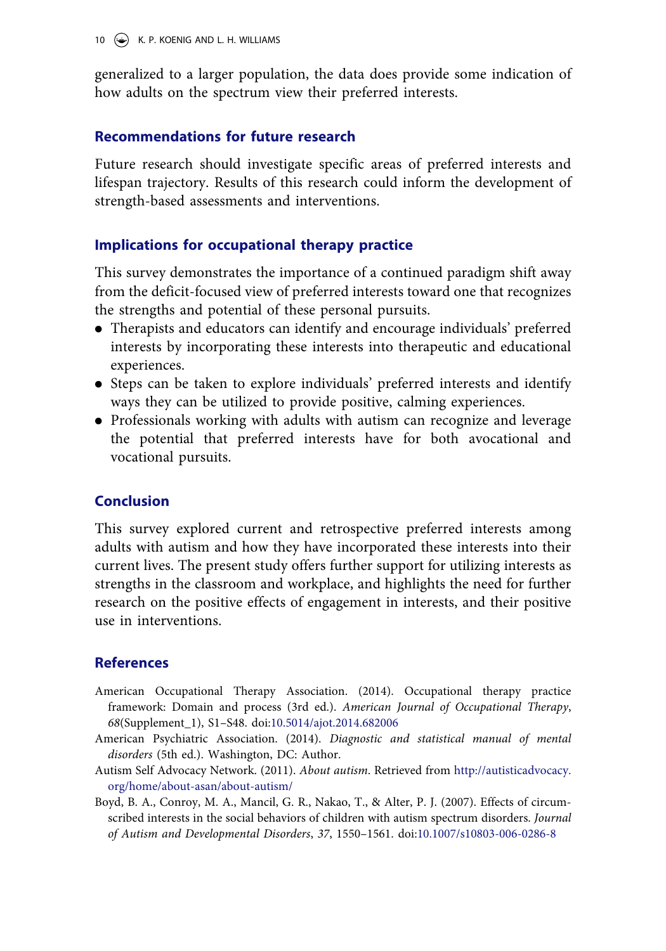<span id="page-10-0"></span>generalized to a larger population, the data does provide some indication of how adults on the spectrum view their preferred interests.

## **Recommendations for future research**

Future research should investigate specific areas of preferred interests and lifespan trajectory. Results of this research could inform the development of strength-based assessments and interventions.

## **Implications for occupational therapy practice**

This survey demonstrates the importance of a continued paradigm shift away from the deficit-focused view of preferred interests toward one that recognizes the strengths and potential of these personal pursuits.

- . Therapists and educators can identify and encourage individuals' preferred interests by incorporating these interests into therapeutic and educational experiences.
- . Steps can be taken to explore individuals' preferred interests and identify ways they can be utilized to provide positive, calming experiences.
- . Professionals working with adults with autism can recognize and leverage the potential that preferred interests have for both avocational and vocational pursuits.

## **Conclusion**

This survey explored current and retrospective preferred interests among adults with autism and how they have incorporated these interests into their current lives. The present study offers further support for utilizing interests as strengths in the classroom and workplace, and highlights the need for further research on the positive effects of engagement in interests, and their positive use in interventions.

## **References**

- American Occupational Therapy Association. (2014). Occupational therapy practice framework: Domain and process (3rd ed.). *American Journal of Occupational Therapy*, *68*(Supplement\_1), S1–S48. doi:[10.5014/ajot.2014.682006](http://dx.doi.org/10.5014/ajot.2014.682006)
- American Psychiatric Association. (2014). *Diagnostic and statistical manual of mental disorders* (5th ed.). Washington, DC: Author.
- Autism Self Advocacy Network. (2011). *About autism*. Retrieved from [http://autisticadvocacy.](http://autisticadvocacy.org/home/about-asan/about-autism/) [org/home/about-asan/about-autism/](http://autisticadvocacy.org/home/about-asan/about-autism/)
- Boyd, B. A., Conroy, M. A., Mancil, G. R., Nakao, T., & Alter, P. J. (2007). Effects of circumscribed interests in the social behaviors of children with autism spectrum disorders. *Journal of Autism and Developmental Disorders*, *37*, 1550–1561. doi:[10.1007/s10803-006-0286-8](http://dx.doi.org/10.1007/s10803-006-0286-8)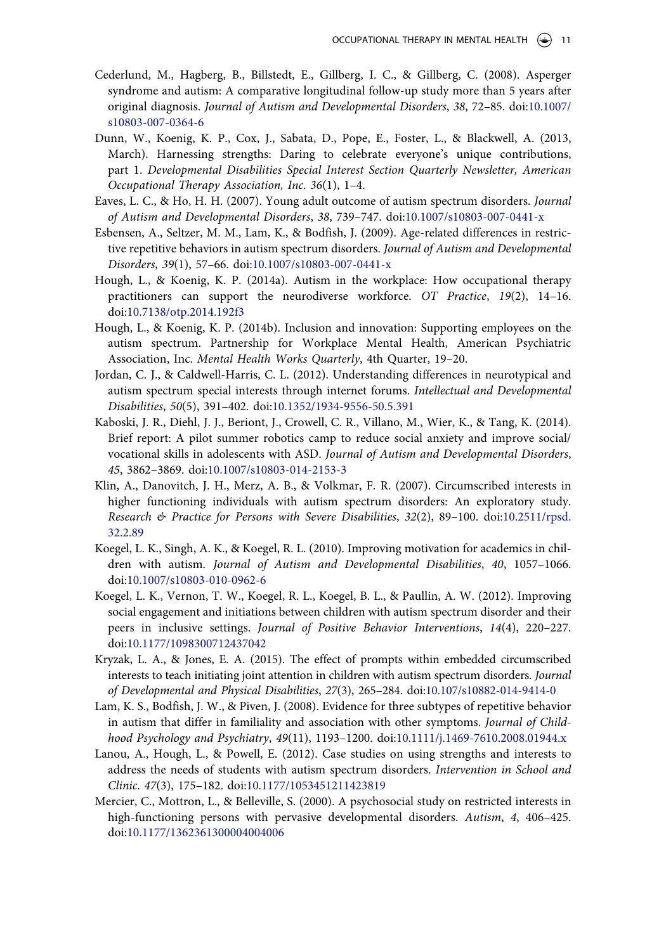- <span id="page-11-0"></span>Cederlund, M., Hagberg, B., Billstedt, E., Gillberg, I. C., & Gillberg, C. (2008). Asperger syndrome and autism: A comparative longitudinal follow-up study more than 5 years after original diagnosis. *Journal of Autism and Developmental Disorders*, *38*, 72–85. doi:[10.1007/](http://dx.doi.org/10.1007/s10803-007-0364-6) [s10803-007-0364-6](http://dx.doi.org/10.1007/s10803-007-0364-6)
- Dunn, W., Koenig, K. P., Cox, J., Sabata, D., Pope, E., Foster, L., & Blackwell, A. (2013, March). Harnessing strengths: Daring to celebrate everyone's unique contributions, part 1. *Developmental Disabilities Special Interest Section Quarterly Newsletter, American Occupational Therapy Association, Inc*. *36*(1), 1–4.
- Eaves, L. C., & Ho, H. H. (2007). Young adult outcome of autism spectrum disorders. *Journal of Autism and Developmental Disorders*, *38*, 739–747. doi:[10.1007/s10803-007-0441-x](http://dx.doi.org/10.1007/s10803-007-0441-x)
- Esbensen, A., Seltzer, M. M., Lam, K., & Bodfish, J. (2009). Age-related differences in restrictive repetitive behaviors in autism spectrum disorders. *Journal of Autism and Developmental Disorders*, *39*(1), 57–66. doi[:10.1007/s10803-007-0441-x](http://dx.doi.org/10.1007/s10803-007-0441-x)
- Hough, L., & Koenig, K. P. (2014a). Autism in the workplace: How occupational therapy practitioners can support the neurodiverse workforce. *OT Practice*, *19*(2), 14–16. doi[:10.7138/otp.2014.192f3](http://dx.doi.org/10.7138/otp.2014.192f3)
- Hough, L., & Koenig, K. P. (2014b). Inclusion and innovation: Supporting employees on the autism spectrum. Partnership for Workplace Mental Health, American Psychiatric Association, Inc. *Mental Health Works Quarterly*, 4th Quarter, 19–20.
- Jordan, C. J., & Caldwell-Harris, C. L. (2012). Understanding differences in neurotypical and autism spectrum special interests through internet forums. *Intellectual and Developmental Disabilities*, *50*(5), 391–402. doi[:10.1352/1934-9556-50.5.391](http://dx.doi.org/10.1352/1934-9556-50.5.391)
- Kaboski, J. R., Diehl, J. J., Beriont, J., Crowell, C. R., Villano, M., Wier, K., & Tang, K. (2014). Brief report: A pilot summer robotics camp to reduce social anxiety and improve social/ vocational skills in adolescents with ASD. *Journal of Autism and Developmental Disorders*, *45*, 3862–3869. doi[:10.1007/s10803-014-2153-3](http://dx.doi.org/10.1007/s10803-014-2153-3)
- Klin, A., Danovitch, J. H., Merz, A. B., & Volkmar, F. R. (2007). Circumscribed interests in higher functioning individuals with autism spectrum disorders: An exploratory study. *Research & Practice for Persons with Severe Disabilities*, *32*(2), 89–100. doi:[10.2511/rpsd.](http://dx.doi.org/10.2511/rpsd.32.2.89) [32.2.89](http://dx.doi.org/10.2511/rpsd.32.2.89)
- Koegel, L. K., Singh, A. K., & Koegel, R. L. (2010). Improving motivation for academics in children with autism. *Journal of Autism and Developmental Disabilities*, *40*, 1057–1066. doi[:10.1007/s10803-010-0962-6](http://dx.doi.org/10.1007/s10803-010-0962-6)
- Koegel, L. K., Vernon, T. W., Koegel, R. L., Koegel, B. L., & Paullin, A. W. (2012). Improving social engagement and initiations between children with autism spectrum disorder and their peers in inclusive settings. *Journal of Positive Behavior Interventions*, *14*(4), 220–227. doi[:10.1177/1098300712437042](http://dx.doi.org/10.1177/1098300712437042)
- Kryzak, L. A., & Jones, E. A. (2015). The effect of prompts within embedded circumscribed interests to teach initiating joint attention in children with autism spectrum disorders. *Journal of Developmental and Physical Disabilities*, *27*(3), 265–284. doi[:10.107/s10882-014-9414-0](http://dx.doi.org/10.107/s10882-014-9414-0)
- Lam, K. S., Bodfish, J. W., & Piven, J. (2008). Evidence for three subtypes of repetitive behavior in autism that differ in familiality and association with other symptoms. *Journal of Childhood Psychology and Psychiatry*, *49*(11), 1193–1200. doi:[10.1111/j.1469-7610.2008.01944.x](http://dx.doi.org/10.1111/j.1469-7610.2008.01944.x)
- Lanou, A., Hough, L., & Powell, E. (2012). Case studies on using strengths and interests to address the needs of students with autism spectrum disorders. *Intervention in School and Clinic*. *47*(3), 175–182. doi:[10.1177/1053451211423819](http://dx.doi.org/10.1177/1053451211423819)
- Mercier, C., Mottron, L., & Belleville, S. (2000). A psychosocial study on restricted interests in high-functioning persons with pervasive developmental disorders. *Autism*, *4*, 406–425. doi[:10.1177/1362361300004004006](http://dx.doi.org/10.1177/1362361300004004006)